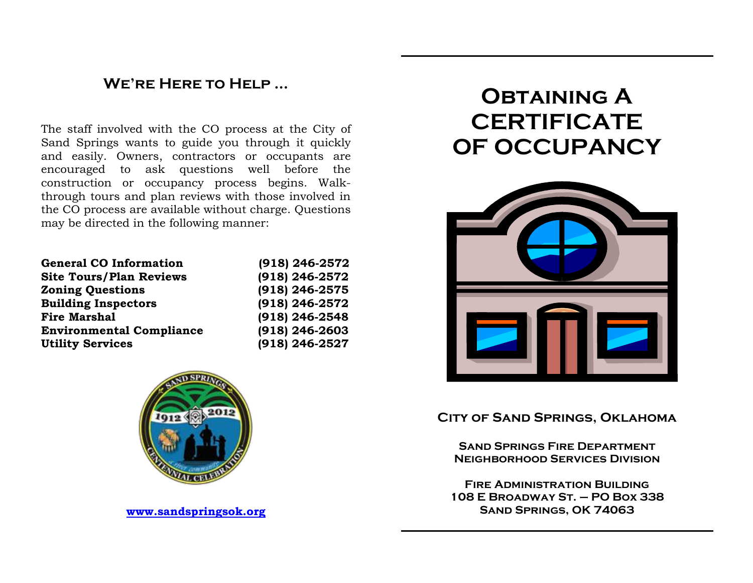## **We're Here to Help …**

The staff involved with the CO process at the City of Sand Springs wants to guide you through it quickly and easily. Owners, contractors or occupants are encouraged to ask questions well before the construction or occupancy process begins. Walkthrough tours and plan reviews with those involved in the CO process are available without charge. Questions may be directed in the following manner:

| <b>General CO Information</b>   | $(918)$ 246-2572 |
|---------------------------------|------------------|
| <b>Site Tours/Plan Reviews</b>  | (918) 246-2572   |
| <b>Zoning Questions</b>         | (918) 246-2575   |
| <b>Building Inspectors</b>      | (918) 246-2572   |
| <b>Fire Marshal</b>             | (918) 246-2548   |
| <b>Environmental Compliance</b> | $(918)$ 246-2603 |
| <b>Utility Services</b>         | (918) 246-2527   |



**[www.sandspringsok.org](http://www.sandspringsok.org/)**

# **Obtaining A CERTIFICATE OF OCCUPANCY**



### **City of Sand Springs, Oklahoma**

**Sand Springs Fire Department Neighborhood Services Division**

**Fire Administration Building 108 E Broadway St. – PO Box 338 Sand Springs, OK 74063**